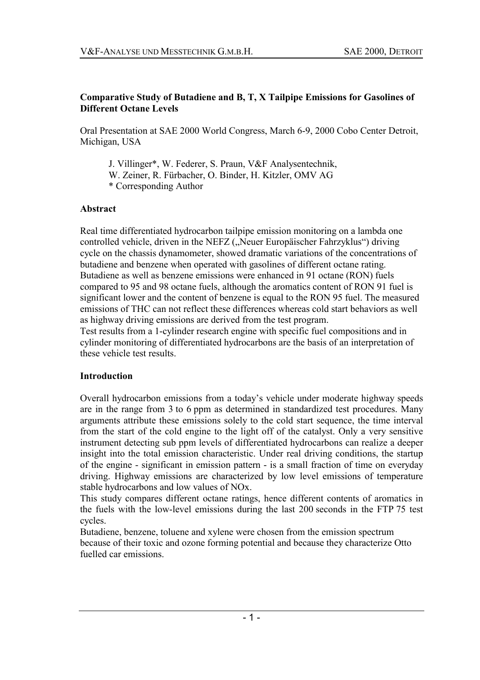#### **Comparative Study of Butadiene and B, T, X Tailpipe Emissions for Gasolines of Different Octane Levels**

Oral Presentation at SAE 2000 World Congress, March 6-9, 2000 Cobo Center Detroit, Michigan, USA

J. Villinger\*, W. Federer, S. Praun, V&F Analysentechnik, W. Zeiner, R. Fürbacher, O. Binder, H. Kitzler, OMV AG \* Corresponding Author

#### **Abstract**

Real time differentiated hydrocarbon tailpipe emission monitoring on a lambda one controlled vehicle, driven in the NEFZ ("Neuer Europäischer Fahrzyklus") driving cycle on the chassis dynamometer, showed dramatic variations of the concentrations of butadiene and benzene when operated with gasolines of different octane rating. Butadiene as well as benzene emissions were enhanced in 91 octane (RON) fuels compared to 95 and 98 octane fuels, although the aromatics content of RON 91 fuel is significant lower and the content of benzene is equal to the RON 95 fuel. The measured emissions of THC can not reflect these differences whereas cold start behaviors as well as highway driving emissions are derived from the test program.

Test results from a 1-cylinder research engine with specific fuel compositions and in cylinder monitoring of differentiated hydrocarbons are the basis of an interpretation of these vehicle test results.

#### **Introduction**

Overall hydrocarbon emissions from a today's vehicle under moderate highway speeds are in the range from 3 to 6 ppm as determined in standardized test procedures. Many arguments attribute these emissions solely to the cold start sequence, the time interval from the start of the cold engine to the light off of the catalyst. Only a very sensitive instrument detecting sub ppm levels of differentiated hydrocarbons can realize a deeper insight into the total emission characteristic. Under real driving conditions, the startup of the engine - significant in emission pattern - is a small fraction of time on everyday driving. Highway emissions are characterized by low level emissions of temperature stable hydrocarbons and low values of NOx.

This study compares different octane ratings, hence different contents of aromatics in the fuels with the low-level emissions during the last 200 seconds in the FTP 75 test cycles.

Butadiene, benzene, toluene and xylene were chosen from the emission spectrum because of their toxic and ozone forming potential and because they characterize Otto fuelled car emissions.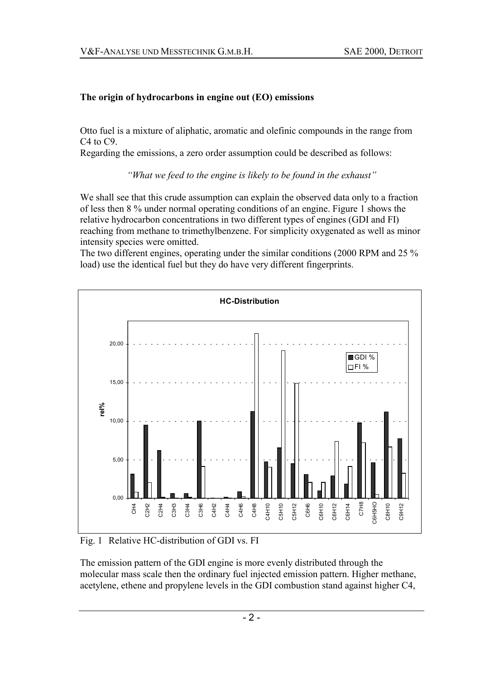# **The origin of hydrocarbons in engine out (EO) emissions**

Otto fuel is a mixture of aliphatic, aromatic and olefinic compounds in the range from C4 to C9.

Regarding the emissions, a zero order assumption could be described as follows:

*<sup>8</sup>What we feed to the engine is likely to be found in the exhaust*  $\ddot{}$ 

We shall see that this crude assumption can explain the observed data only to a fraction of less then 8 % under normal operating conditions of an engine. Figure 1 shows the relative hydrocarbon concentrations in two different types of engines (GDI and FI) reaching from methane to trimethylbenzene. For simplicity oxygenated as well as minor intensity species were omitted.

The two different engines, operating under the similar conditions (2000 RPM and 25 % load) use the identical fuel but they do have very different fingerprints.



Fig. 1 Relative HC-distribution of GDI vs. FI

The emission pattern of the GDI engine is more evenly distributed through the molecular mass scale then the ordinary fuel injected emission pattern. Higher methane, acetylene, ethene and propylene levels in the GDI combustion stand against higher C4,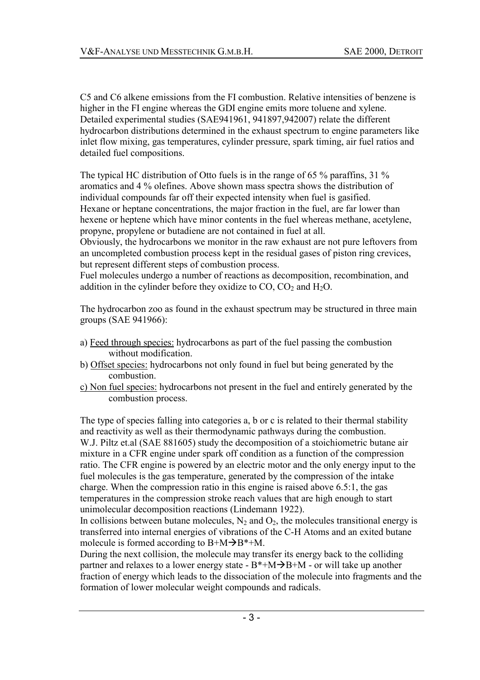C5 and C6 alkene emissions from the FI combustion. Relative intensities of benzene is higher in the FI engine whereas the GDI engine emits more toluene and xylene. Detailed experimental studies (SAE941961, 941897,942007) relate the different hydrocarbon distributions determined in the exhaust spectrum to engine parameters like inlet flow mixing, gas temperatures, cylinder pressure, spark timing, air fuel ratios and detailed fuel compositions.

The typical HC distribution of Otto fuels is in the range of 65 % paraffins, 31 % aromatics and 4 % olefines. Above shown mass spectra shows the distribution of individual compounds far off their expected intensity when fuel is gasified. Hexane or heptane concentrations, the major fraction in the fuel, are far lower than hexene or heptene which have minor contents in the fuel whereas methane, acetylene, propyne, propylene or butadiene are not contained in fuel at all. Obviously, the hydrocarbons we monitor in the raw exhaust are not pure leftovers from

an uncompleted combustion process kept in the residual gases of piston ring crevices, but represent different steps of combustion process.

Fuel molecules undergo a number of reactions as decomposition, recombination, and addition in the cylinder before they oxidize to  $CO$ ,  $CO<sub>2</sub>$  and  $H<sub>2</sub>O$ .

The hydrocarbon zoo as found in the exhaust spectrum may be structured in three main groups (SAE 941966):

- a) Feed through species: hydrocarbons as part of the fuel passing the combustion without modification.
- b) Offset species: hydrocarbons not only found in fuel but being generated by the combustion.
- c) Non fuel species: hydrocarbons not present in the fuel and entirely generated by the combustion process.

The type of species falling into categories a, b or c is related to their thermal stability and reactivity as well as their thermodynamic pathways during the combustion. W.J. Piltz et.al (SAE 881605) study the decomposition of a stoichiometric butane air mixture in a CFR engine under spark off condition as a function of the compression ratio. The CFR engine is powered by an electric motor and the only energy input to the fuel molecules is the gas temperature, generated by the compression of the intake charge. When the compression ratio in this engine is raised above 6.5:1, the gas temperatures in the compression stroke reach values that are high enough to start unimolecular decomposition reactions (Lindemann 1922).

In collisions between butane molecules,  $N_2$  and  $O_2$ , the molecules transitional energy is transferred into internal energies of vibrations of the C-H Atoms and an exited butane molecule is formed according to  $B+M\rightarrow B^*+M$ .

During the next collision, the molecule may transfer its energy back to the colliding partner and relaxes to a lower energy state -  $B^* + M \rightarrow B + M$  - or will take up another fraction of energy which leads to the dissociation of the molecule into fragments and the formation of lower molecular weight compounds and radicals.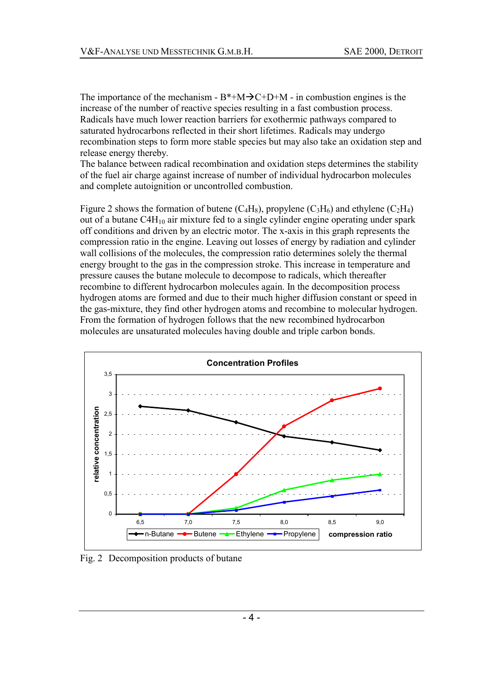The importance of the mechanism -  $B^* + M \rightarrow C + D + M$  - in combustion engines is the increase of the number of reactive species resulting in a fast combustion process. Radicals have much lower reaction barriers for exothermic pathways compared to saturated hydrocarbons reflected in their short lifetimes. Radicals may undergo recombination steps to form more stable species but may also take an oxidation step and release energy thereby.

The balance between radical recombination and oxidation steps determines the stability of the fuel air charge against increase of number of individual hydrocarbon molecules and complete autoignition or uncontrolled combustion.

Figure 2 shows the formation of butene  $(C_4H_8)$ , propylene  $(C_3H_6)$  and ethylene  $(C_2H_4)$ out of a butane  $C4H_{10}$  air mixture fed to a single cylinder engine operating under spark off conditions and driven by an electric motor. The x-axis in this graph represents the compression ratio in the engine. Leaving out losses of energy by radiation and cylinder wall collisions of the molecules, the compression ratio determines solely the thermal energy brought to the gas in the compression stroke. This increase in temperature and pressure causes the butane molecule to decompose to radicals, which thereafter recombine to different hydrocarbon molecules again. In the decomposition process hydrogen atoms are formed and due to their much higher diffusion constant or speed in the gas-mixture, they find other hydrogen atoms and recombine to molecular hydrogen. From the formation of hydrogen follows that the new recombined hydrocarbon molecules are unsaturated molecules having double and triple carbon bonds.



Fig. 2 Decomposition products of butane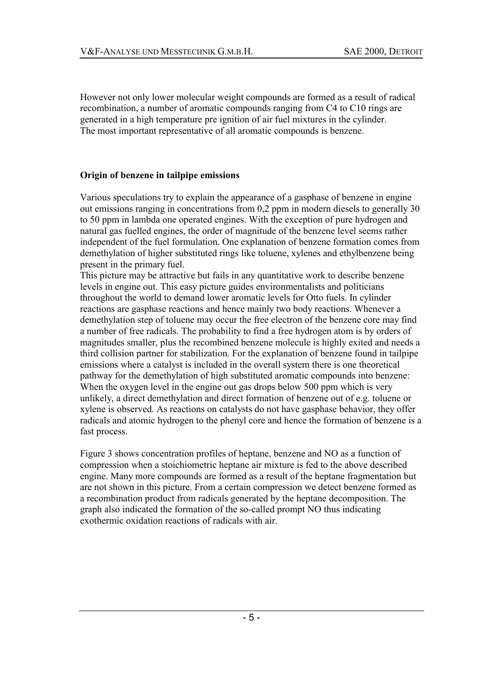However not only lower molecular weight compounds are formed as a result of radical recombination, a number of aromatic compounds ranging from C4 to C10 rings are generated in a high temperature pre ignition of air fuel mixtures in the cylinder. The most important representative of all aromatic compounds is benzene.

# **Origin of benzene in tailpipe emissions**

Various speculations try to explain the appearance of a gasphase of benzene in engine out emissions ranging in concentrations from 0,2 ppm in modern diesels to generally 30 to 50 ppm in lambda one operated engines. With the exception of pure hydrogen and natural gas fuelled engines, the order of magnitude of the benzene level seems rather independent of the fuel formulation. One explanation of benzene formation comes from demethylation of higher substituted rings like toluene, xylenes and ethylbenzene being present in the primary fuel.

This picture may be attractive but fails in any quantitative work to describe benzene levels in engine out. This easy picture guides environmentalists and politicians throughout the world to demand lower aromatic levels for Otto fuels. In cylinder reactions are gasphase reactions and hence mainly two body reactions. Whenever a demethylation step of toluene may occur the free electron of the benzene core may find a number of free radicals. The probability to find a free hydrogen atom is by orders of magnitudes smaller, plus the recombined benzene molecule is highly exited and needs a third collision partner for stabilization. For the explanation of benzene found in tailpipe emissions where a catalyst is included in the overall system there is one theoretical pathway for the demethylation of high substituted aromatic compounds into benzene: When the oxygen level in the engine out gas drops below 500 ppm which is very unlikely, a direct demethylation and direct formation of benzene out of e.g. toluene or xylene is observed. As reactions on catalysts do not have gasphase behavior, they offer radicals and atomic hydrogen to the phenyl core and hence the formation of benzene is a fast process.

Figure 3 shows concentration profiles of heptane, benzene and NO as a function of compression when a stoichiometric heptane air mixture is fed to the above described engine. Many more compounds are formed as a result of the heptane fragmentation but are not shown in this picture. From a certain compression we detect benzene formed as a recombination product from radicals generated by the heptane decomposition. The graph also indicated the formation of the so-called prompt NO thus indicating exothermic oxidation reactions of radicals with air.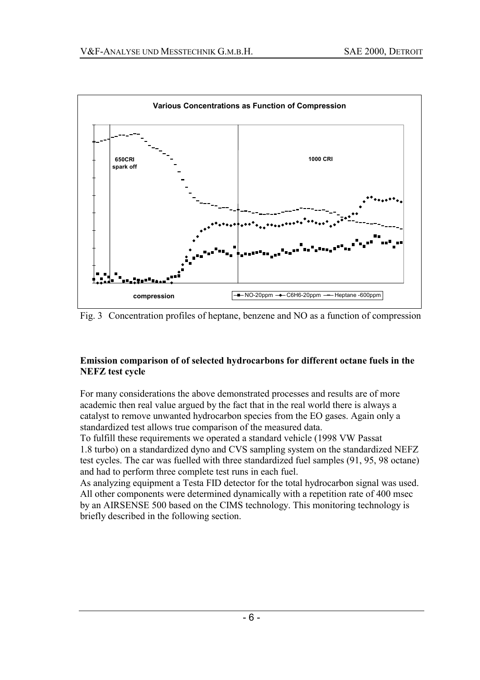

Fig. 3 Concentration profiles of heptane, benzene and NO as a function of compression

# **Emission comparison of of selected hydrocarbons for different octane fuels in the NEFZ test cycle**

For many considerations the above demonstrated processes and results are of more academic then real value argued by the fact that in the real world there is always a catalyst to remove unwanted hydrocarbon species from the EO gases. Again only a standardized test allows true comparison of the measured data.

To fulfill these requirements we operated a standard vehicle (1998 VW Passat 1.8 turbo) on a standardized dyno and CVS sampling system on the standardized NEFZ test cycles. The car was fuelled with three standardized fuel samples (91, 95, 98 octane) and had to perform three complete test runs in each fuel.

As analyzing equipment a Testa FID detector for the total hydrocarbon signal was used. All other components were determined dynamically with a repetition rate of 400 msec by an AIRSENSE 500 based on the CIMS technology. This monitoring technology is briefly described in the following section.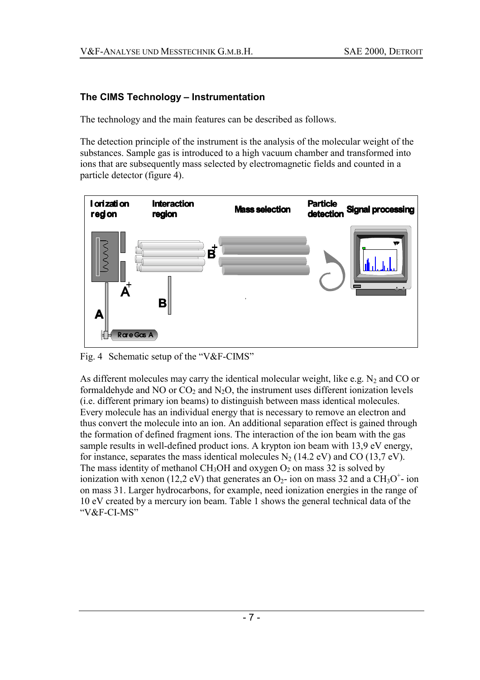# **The CIMS Technology - Instrumentation**

The technology and the main features can be described as follows.

The detection principle of the instrument is the analysis of the molecular weight of the substances. Sample gas is introduced to a high vacuum chamber and transformed into ions that are subsequently mass selected by electromagnetic fields and counted in a particle detector (figure 4).



Fig. 4 Schematic setup of the " $V&F-CIMS$ "

As different molecules may carry the identical molecular weight, like e.g.  $N_2$  and CO or formaldehyde and NO or  $CO<sub>2</sub>$  and N<sub>2</sub>O, the instrument uses different ionization levels (i.e. different primary ion beams) to distinguish between mass identical molecules. Every molecule has an individual energy that is necessary to remove an electron and thus convert the molecule into an ion. An additional separation effect is gained through the formation of defined fragment ions. The interaction of the ion beam with the gas sample results in well-defined product ions. A krypton ion beam with 13,9 eV energy, for instance, separates the mass identical molecules  $N_2$  (14.2 eV) and CO (13,7 eV). The mass identity of methanol CH<sub>3</sub>OH and oxygen  $O_2$  on mass 32 is solved by ionization with xenon (12,2 eV) that generates an  $O_2$ - ion on mass 32 and a CH<sub>3</sub>O<sup>+</sup>- ion on mass 31. Larger hydrocarbons, for example, need ionization energies in the range of 10 eV created by a mercury ion beam. Table 1 shows the general technical data of the "V&F-CI-MS"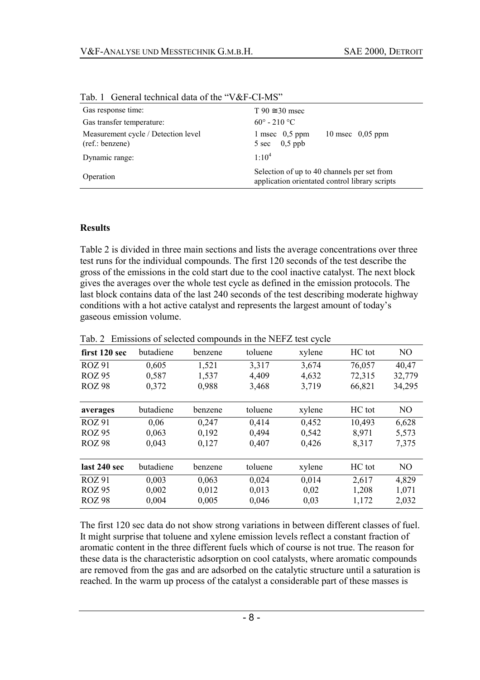| Gas response time:                                    | $T 90 \approx 30$ msec                                                                        |  |  |
|-------------------------------------------------------|-----------------------------------------------------------------------------------------------|--|--|
| Gas transfer temperature:                             | $60^{\circ} - 210^{\circ}$ C                                                                  |  |  |
| Measurement cycle / Detection level<br>(ref.:benzene) | 1 msec $0,5$ ppm<br>10 msec $0,05$ ppm<br>$0,5$ ppb<br>5 sec                                  |  |  |
| Dynamic range:                                        | $1.10^{4}$                                                                                    |  |  |
| Operation                                             | Selection of up to 40 channels per set from<br>application orientated control library scripts |  |  |

Tab. 1 General technical data of the "V&F-CI-MS"

#### **Results**

Table 2 is divided in three main sections and lists the average concentrations over three test runs for the individual compounds. The first 120 seconds of the test describe the gross of the emissions in the cold start due to the cool inactive catalyst. The next block gives the averages over the whole test cycle as defined in the emission protocols. The last block contains data of the last 240 seconds of the test describing moderate highway conditions with a hot active catalyst and represents the largest amount of today's gaseous emission volume.

| first 120 sec | butadiene | benzene | toluene | xylene | HC tot | N <sub>O</sub> |
|---------------|-----------|---------|---------|--------|--------|----------------|
| <b>ROZ 91</b> | 0,605     | 1,521   | 3,317   | 3,674  | 76,057 | 40,47          |
| <b>ROZ 95</b> | 0,587     | 1,537   | 4,409   | 4,632  | 72,315 | 32,779         |
| <b>ROZ 98</b> | 0,372     | 0,988   | 3,468   | 3,719  | 66,821 | 34,295         |
| averages      | butadiene | benzene | toluene | xylene | HC tot | N <sub>O</sub> |
| <b>ROZ 91</b> | 0,06      | 0,247   | 0,414   | 0,452  | 10,493 | 6,628          |
| <b>ROZ 95</b> | 0,063     | 0,192   | 0.494   | 0,542  | 8,971  | 5,573          |
| <b>ROZ 98</b> | 0,043     | 0,127   | 0,407   | 0,426  | 8,317  | 7,375          |
| last 240 sec  | butadiene | benzene | toluene | xylene | HC tot | NO             |
| <b>ROZ 91</b> | 0,003     | 0,063   | 0,024   | 0.014  | 2,617  | 4,829          |
| <b>ROZ 95</b> | 0,002     | 0,012   | 0,013   | 0,02   | 1,208  | 1,071          |
| <b>ROZ 98</b> | 0,004     | 0,005   | 0,046   | 0,03   | 1,172  | 2,032          |

Tab. 2 Emissions of selected compounds in the NEFZ test cycle

The first 120 sec data do not show strong variations in between different classes of fuel. It might surprise that toluene and xylene emission levels reflect a constant fraction of aromatic content in the three different fuels which of course is not true. The reason for these data is the characteristic adsorption on cool catalysts, where aromatic compounds are removed from the gas and are adsorbed on the catalytic structure until a saturation is reached. In the warm up process of the catalyst a considerable part of these masses is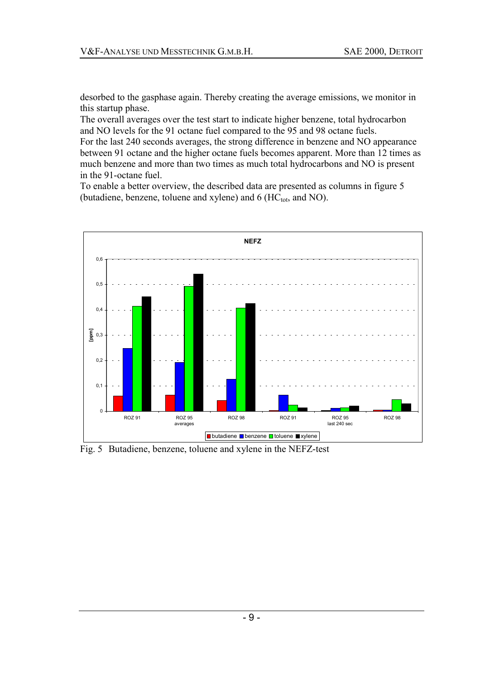desorbed to the gasphase again. Thereby creating the average emissions, we monitor in this startup phase.

The overall averages over the test start to indicate higher benzene, total hydrocarbon and NO levels for the 91 octane fuel compared to the 95 and 98 octane fuels.

For the last 240 seconds averages, the strong difference in benzene and NO appearance between 91 octane and the higher octane fuels becomes apparent. More than 12 times as much benzene and more than two times as much total hydrocarbons and NO is present in the 91-octane fuel.

To enable a better overview, the described data are presented as columns in figure 5 (butadiene, benzene, toluene and xylene) and  $6$  (HC<sub>tot</sub>, and NO).



Fig. 5 Butadiene, benzene, toluene and xylene in the NEFZ-test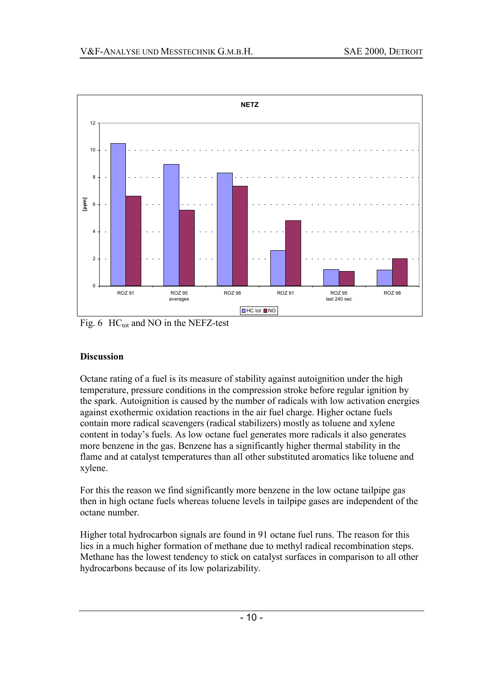

Fig. 6  $\text{HC}_{\text{tot}}$  and NO in the NEFZ-test

# **Discussion**

Octane rating of a fuel is its measure of stability against autoignition under the high temperature, pressure conditions in the compression stroke before regular ignition by the spark. Autoignition is caused by the number of radicals with low activation energies against exothermic oxidation reactions in the air fuel charge. Higher octane fuels contain more radical scavengers (radical stabilizers) mostly as toluene and xylene content in today's fuels. As low octane fuel generates more radicals it also generates more benzene in the gas. Benzene has a significantly higher thermal stability in the flame and at catalyst temperatures than all other substituted aromatics like toluene and xylene.

For this the reason we find significantly more benzene in the low octane tailpipe gas then in high octane fuels whereas toluene levels in tailpipe gases are independent of the octane number.

Higher total hydrocarbon signals are found in 91 octane fuel runs. The reason for this lies in a much higher formation of methane due to methyl radical recombination steps. Methane has the lowest tendency to stick on catalyst surfaces in comparison to all other hydrocarbons because of its low polarizability.